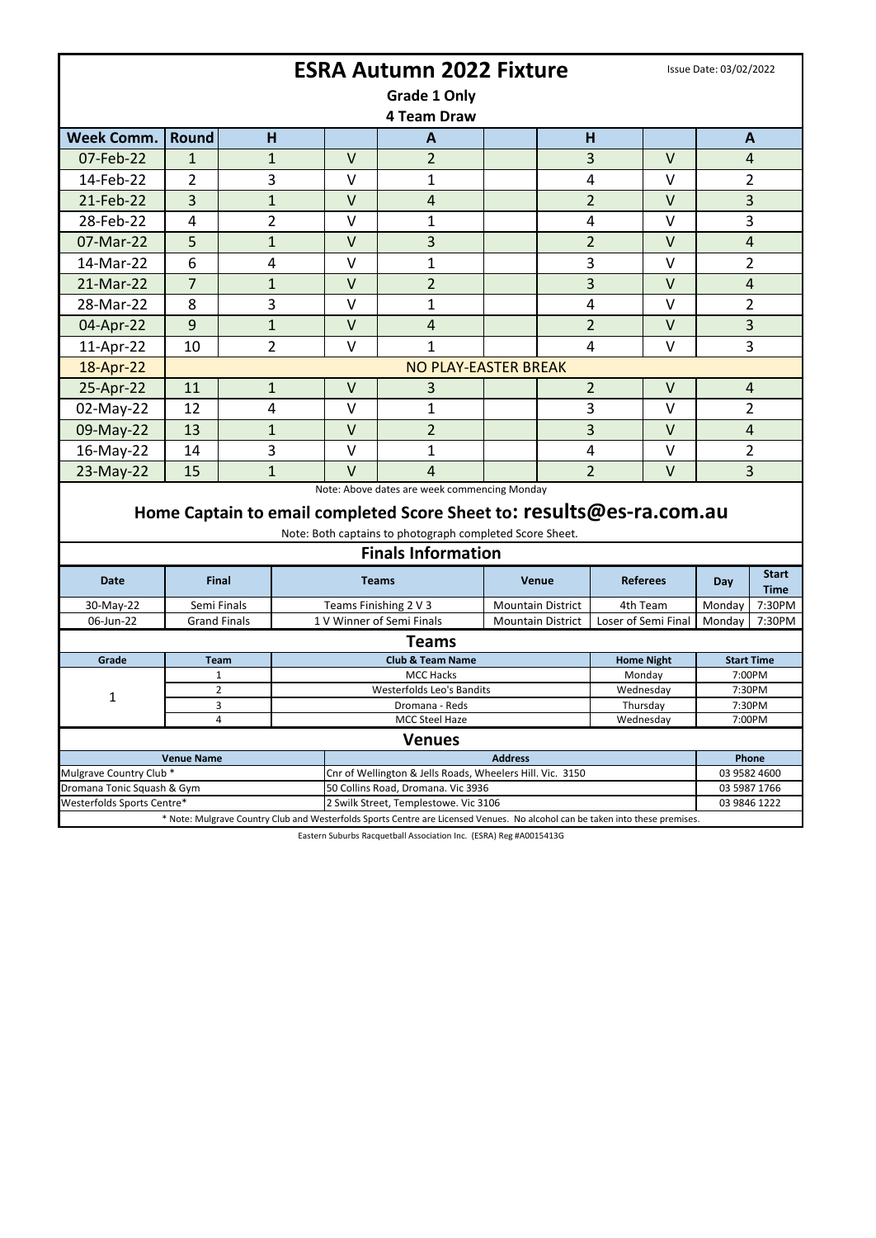| <b>ESRA Autumn 2022 Fixture</b>                                     |                     |                             |                                                           |                                                                                                                               |                          |                |                     |                       |              | Issue Date: 03/02/2022 |  |  |
|---------------------------------------------------------------------|---------------------|-----------------------------|-----------------------------------------------------------|-------------------------------------------------------------------------------------------------------------------------------|--------------------------|----------------|---------------------|-----------------------|--------------|------------------------|--|--|
| Grade 1 Only                                                        |                     |                             |                                                           |                                                                                                                               |                          |                |                     |                       |              |                        |  |  |
| 4 Team Draw                                                         |                     |                             |                                                           |                                                                                                                               |                          |                |                     |                       |              |                        |  |  |
| <b>Week Comm.</b>                                                   | <b>Round</b>        | H                           |                                                           | A                                                                                                                             |                          | H              |                     |                       |              | $\mathbf{A}$           |  |  |
| 07-Feb-22                                                           | 1                   |                             | V                                                         |                                                                                                                               |                          |                |                     | V                     |              | $\overline{4}$         |  |  |
| 14-Feb-22                                                           | 2                   | $\mathbf{1}$<br>3           | v                                                         | $\overline{2}$                                                                                                                |                          | 3              |                     | v                     |              |                        |  |  |
|                                                                     |                     |                             |                                                           | 1                                                                                                                             |                          | 4              |                     |                       |              | 2                      |  |  |
| 21-Feb-22                                                           | 3                   | $\mathbf{1}$                | $\vee$                                                    | 4                                                                                                                             |                          | $\overline{2}$ |                     | $\vee$                |              | 3                      |  |  |
| 28-Feb-22                                                           | 4                   | $\overline{2}$              | $\vee$                                                    | 1                                                                                                                             |                          | 4              |                     | $\vee$                |              | 3                      |  |  |
| 07-Mar-22                                                           | 5                   | $\mathbf{1}$                | $\vee$                                                    | 3                                                                                                                             |                          | $\overline{2}$ |                     | $\vee$                |              | $\overline{4}$         |  |  |
| 14-Mar-22                                                           | 6                   | 4                           | $\vee$                                                    | 1                                                                                                                             |                          | 3              |                     | $\vee$                |              | 2                      |  |  |
| 21-Mar-22                                                           | $\overline{7}$      | $\mathbf{1}$                | $\vee$                                                    | $\overline{2}$                                                                                                                |                          | 3              |                     | $\vee$                |              | 4                      |  |  |
| 28-Mar-22                                                           | 8                   | 3                           | v                                                         | 1                                                                                                                             |                          | 4              |                     | v                     |              | 2                      |  |  |
| 04-Apr-22                                                           | 9                   | $\mathbf{1}$                | $\vee$                                                    | $\overline{4}$                                                                                                                |                          |                | $\overline{2}$      | $\vee$                |              | 3                      |  |  |
| 11-Apr-22                                                           | 10                  | $\overline{2}$              | V                                                         | $\mathbf{1}$                                                                                                                  |                          | 4              |                     | $\vee$                |              | 3                      |  |  |
| 18-Apr-22                                                           |                     | <b>NO PLAY-EASTER BREAK</b> |                                                           |                                                                                                                               |                          |                |                     |                       |              |                        |  |  |
| 25-Apr-22                                                           | 11                  | $\mathbf{1}$                | $\vee$                                                    | 3                                                                                                                             |                          |                | $\overline{2}$      | $\vee$                |              | $\overline{4}$         |  |  |
| 02-May-22                                                           | 12                  | 4                           | v                                                         | 1                                                                                                                             |                          | 3              |                     | v                     |              | 2                      |  |  |
| 09-May-22                                                           | 13                  | $\mathbf{1}$                | $\vee$                                                    | $\overline{2}$                                                                                                                |                          | 3              |                     | $\vee$                |              | 4                      |  |  |
| 16-May-22                                                           | 14                  | 3                           | $\vee$                                                    | 1                                                                                                                             |                          | 4              |                     | $\vee$                |              | 2                      |  |  |
| 23-May-22                                                           | 15                  | $\mathbf{1}$                | $\vee$                                                    | 4                                                                                                                             |                          | $\overline{2}$ |                     | V                     |              | 3                      |  |  |
| Note: Above dates are week commencing Monday                        |                     |                             |                                                           |                                                                                                                               |                          |                |                     |                       |              |                        |  |  |
|                                                                     |                     |                             |                                                           | Home Captain to email completed Score Sheet to: results@es-ra.com.au                                                          |                          |                |                     |                       |              |                        |  |  |
|                                                                     |                     |                             |                                                           | Note: Both captains to photograph completed Score Sheet.                                                                      |                          |                |                     |                       |              |                        |  |  |
|                                                                     |                     |                             |                                                           | <b>Finals Information</b>                                                                                                     |                          |                |                     |                       |              |                        |  |  |
| <b>Date</b>                                                         |                     | Final                       |                                                           |                                                                                                                               | <b>Venue</b>             |                |                     |                       | <b>Start</b> |                        |  |  |
|                                                                     |                     |                             | <b>Teams</b>                                              |                                                                                                                               |                          |                | <b>Referees</b>     |                       | Day          | <b>Time</b>            |  |  |
| 30-May-22                                                           | Semi Finals         |                             | Teams Finishing 2 V 3                                     |                                                                                                                               | <b>Mountain District</b> |                | 4th Team            |                       | Monday       | 7:30PM                 |  |  |
| 06-Jun-22                                                           | <b>Grand Finals</b> |                             |                                                           | 1 V Winner of Semi Finals<br><b>Mountain District</b>                                                                         |                          |                | Loser of Semi Final |                       | Mondav       | 7:30PM                 |  |  |
|                                                                     |                     |                             |                                                           | <b>Teams</b>                                                                                                                  |                          |                |                     |                       |              |                        |  |  |
| Grade                                                               | Team                |                             |                                                           | <b>Club &amp; Team Name</b>                                                                                                   | <b>Home Night</b>        |                | <b>Start Time</b>   |                       |              |                        |  |  |
|                                                                     | 1                   |                             | MCC Hacks                                                 |                                                                                                                               |                          |                |                     | Monday                |              | 7:00PM                 |  |  |
| 1                                                                   | 2<br>3              |                             | Westerfolds Leo's Bandits<br>Dromana - Reds               |                                                                                                                               |                          |                |                     | Wednesday<br>Thursday |              | 7:30PM<br>7:30PM       |  |  |
|                                                                     | 4                   |                             |                                                           | Wednesday                                                                                                                     |                          | 7:00PM         |                     |                       |              |                        |  |  |
| MCC Steel Haze<br><b>Venues</b>                                     |                     |                             |                                                           |                                                                                                                               |                          |                |                     |                       |              |                        |  |  |
| <b>Address</b><br><b>Venue Name</b>                                 |                     |                             |                                                           |                                                                                                                               |                          |                |                     |                       |              | Phone                  |  |  |
| Mulgrave Country Club *                                             |                     |                             | Cnr of Wellington & Jells Roads, Wheelers Hill. Vic. 3150 |                                                                                                                               |                          |                |                     |                       |              | 03 9582 4600           |  |  |
| Dromana Tonic Squash & Gym                                          |                     |                             | 50 Collins Road, Dromana. Vic 3936                        |                                                                                                                               |                          |                |                     |                       |              | 03 5987 1766           |  |  |
| Westerfolds Sports Centre*<br>2 Swilk Street, Templestowe. Vic 3106 |                     |                             |                                                           |                                                                                                                               |                          |                |                     |                       |              | 03 9846 1222           |  |  |
|                                                                     |                     |                             |                                                           | * Note: Mulgrave Country Club and Westerfolds Sports Centre are Licensed Venues. No alcohol can be taken into these premises. |                          |                |                     |                       |              |                        |  |  |

Eastern Suburbs Racquetball Association Inc. (ESRA) Reg #A0015413G